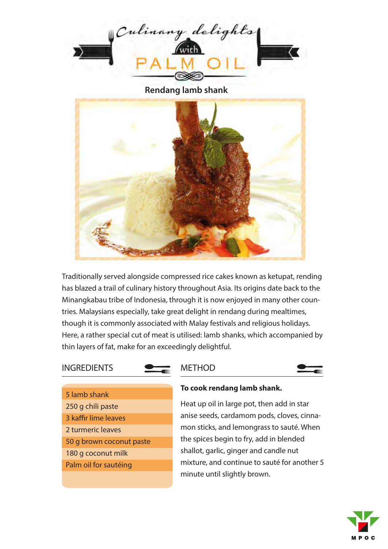

**Rendang lamb shank**



Traditionally served alongside compressed rice cakes known as ketupat, rending has blazed a trail of culinary history throughout Asia. Its origins date back to the Minangkabau tribe of Indonesia, through it is now enjoyed in many other countries. Malaysians especially, take great delight in rendang during mealtimes, though it is commonly associated with Malay festivals and religious holidays. Here, a rather special cut of meat is utilised: lamb shanks, which accompanied by thin layers of fat, make for an exceedingly delightful.

## **INGREDIENTS**

### **MFTHOD**



5 lamb shank 250 g chili paste 3 kaffir lime leaves 2 turmeric leaves 50 g brown coconut paste 180 g coconut milk Palm oiI for sautéing

#### **To cook rendang lamb shank.**

Heat up oil in large pot, then add in star anise seeds, cardamom pods, cloves, cinnamon sticks, and lemongrass to sauté. When the spices begin to fry, add in blended shallot, garlic, ginger and candle nut mixture, and continue to sauté for another 5 minute until slightly brown.